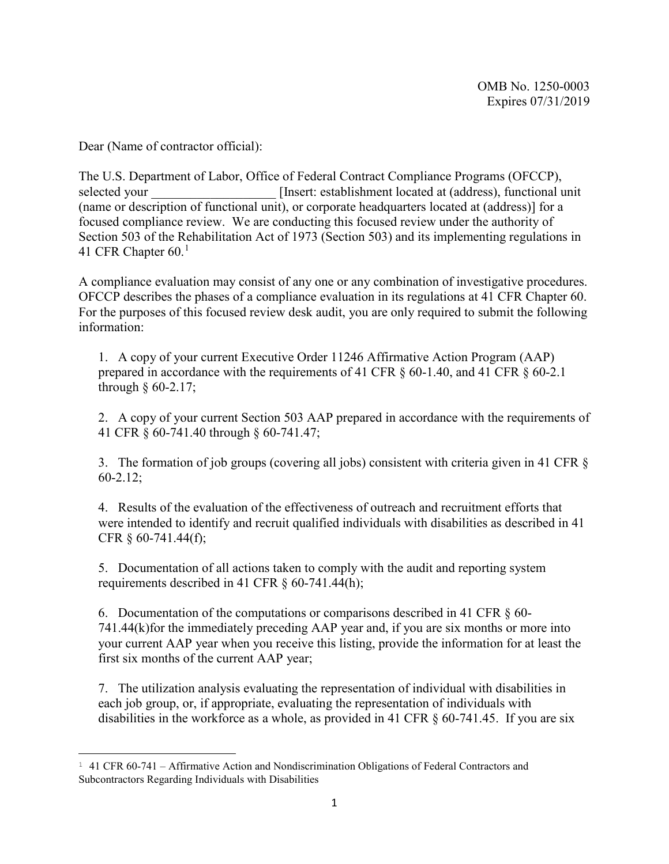Dear (Name of contractor official):

The U.S. Department of Labor, Office of Federal Contract Compliance Programs (OFCCP), selected your **Insert:** establishment located at (address), functional unit (name or description of functional unit), or corporate headquarters located at (address)] for a focused compliance review. We are conducting this focused review under the authority of Section 503 of the Rehabilitation Act of 1973 (Section 503) and its implementing regulations in 4[1](#page-0-0) CFR Chapter  $60.<sup>1</sup>$ 

A compliance evaluation may consist of any one or any combination of investigative procedures. OFCCP describes the phases of a compliance evaluation in its regulations at 41 CFR Chapter 60. For the purposes of this focused review desk audit, you are only required to submit the following information:

1. A copy of your current Executive Order 11246 Affirmative Action Program (AAP) prepared in accordance with the requirements of 41 CFR § 60-1.40, and 41 CFR § 60-2.1 through  $§$  60-2.17;

2. A copy of your current Section 503 AAP prepared in accordance with the requirements of 41 CFR § 60-741.40 through § 60-741.47;

3. The formation of job groups (covering all jobs) consistent with criteria given in 41 CFR § 60-2.12;

4. Results of the evaluation of the effectiveness of outreach and recruitment efforts that were intended to identify and recruit qualified individuals with disabilities as described in 41 CFR § 60-741.44(f);

5. Documentation of all actions taken to comply with the audit and reporting system requirements described in 41 CFR § 60-741.44(h);

6. Documentation of the computations or comparisons described in 41 CFR  $\S$  60-741.44(k)for the immediately preceding AAP year and, if you are six months or more into your current AAP year when you receive this listing, provide the information for at least the first six months of the current AAP year;

7. The utilization analysis evaluating the representation of individual with disabilities in each job group, or, if appropriate, evaluating the representation of individuals with disabilities in the workforce as a whole, as provided in 41 CFR § 60-741.45. If you are six

<span id="page-0-0"></span><sup>1</sup> 41 CFR 60-741 – Affirmative Action and Nondiscrimination Obligations of Federal Contractors and Subcontractors Regarding Individuals with Disabilities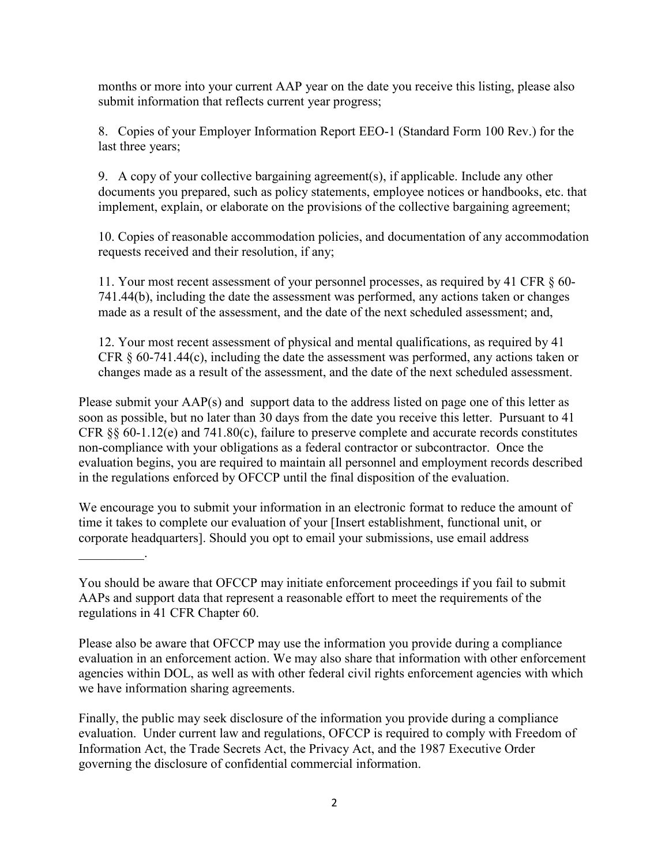months or more into your current AAP year on the date you receive this listing, please also submit information that reflects current year progress;

8. Copies of your Employer Information Report EEO-1 (Standard Form 100 Rev.) for the last three years;

9. A copy of your collective bargaining agreement(s), if applicable. Include any other documents you prepared, such as policy statements, employee notices or handbooks, etc. that implement, explain, or elaborate on the provisions of the collective bargaining agreement;

10. Copies of reasonable accommodation policies, and documentation of any accommodation requests received and their resolution, if any;

11. Your most recent assessment of your personnel processes, as required by 41 CFR § 60- 741.44(b), including the date the assessment was performed, any actions taken or changes made as a result of the assessment, and the date of the next scheduled assessment; and,

12. Your most recent assessment of physical and mental qualifications, as required by 41 CFR § 60-741.44(c), including the date the assessment was performed, any actions taken or changes made as a result of the assessment, and the date of the next scheduled assessment.

Please submit your AAP(s) and support data to the address listed on page one of this letter as soon as possible, but no later than 30 days from the date you receive this letter. Pursuant to 41 CFR §§ 60-1.12(e) and 741.80(c), failure to preserve complete and accurate records constitutes non-compliance with your obligations as a federal contractor or subcontractor. Once the evaluation begins, you are required to maintain all personnel and employment records described in the regulations enforced by OFCCP until the final disposition of the evaluation.

We encourage you to submit your information in an electronic format to reduce the amount of time it takes to complete our evaluation of your [Insert establishment, functional unit, or corporate headquarters]. Should you opt to email your submissions, use email address

You should be aware that OFCCP may initiate enforcement proceedings if you fail to submit AAPs and support data that represent a reasonable effort to meet the requirements of the regulations in 41 CFR Chapter 60.

 $\frac{1}{2}$  ,  $\frac{1}{2}$  ,  $\frac{1}{2}$  ,  $\frac{1}{2}$  ,  $\frac{1}{2}$ 

Please also be aware that OFCCP may use the information you provide during a compliance evaluation in an enforcement action. We may also share that information with other enforcement agencies within DOL, as well as with other federal civil rights enforcement agencies with which we have information sharing agreements.

Finally, the public may seek disclosure of the information you provide during a compliance evaluation. Under current law and regulations, OFCCP is required to comply with Freedom of Information Act, the Trade Secrets Act, the Privacy Act, and the 1987 Executive Order governing the disclosure of confidential commercial information.